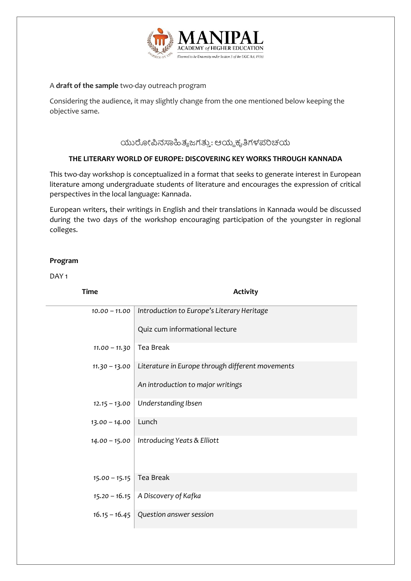

#### A **draft of the sample** two-day outreach program

Considering the audience, it may slightly change from the one mentioned below keeping the objective same.

## ಯುರೋಪಿನಸಾಹಿತ್ಯಜಗತ್ತು: ಆಯ್ದಕೃತಿಗಳಪರಿಚಯ

### **THE LITERARY WORLD OF EUROPE: DISCOVERING KEY WORKS THROUGH KANNADA**

This two-day workshop is conceptualized in a format that seeks to generate interest in European literature among undergraduate students of literature and encourages the expression of critical perspectives in the local language: Kannada.

European writers, their writings in English and their translations in Kannada would be discussed during the two days of the workshop encouraging participation of the youngster in regional colleges.

### **Program**

DAY<sub>1</sub>

| <b>Time</b>     | <b>Activity</b>                                  |
|-----------------|--------------------------------------------------|
| $10.00 - 11.00$ | Introduction to Europe's Literary Heritage       |
|                 | Quiz cum informational lecture                   |
| $11.00 - 11.30$ | Tea Break                                        |
| $11.30 - 13.00$ | Literature in Europe through different movements |
|                 | An introduction to major writings                |
| $12.15 - 13.00$ | Understanding Ibsen                              |
| $13.00 - 14.00$ | Lunch                                            |
| $14.00 - 15.00$ | Introducing Yeats & Elliott                      |
| $15.00 - 15.15$ | Tea Break                                        |
| $15.20 - 16.15$ | A Discovery of Kafka                             |
| $16.15 - 16.45$ | Question answer session                          |